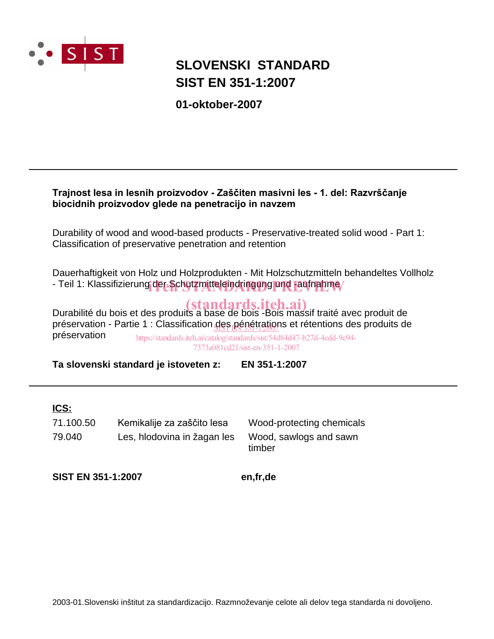

# **SIST EN 351-1:2007 SLOVENSKI STANDARD**

**01-oktober-2007**

### Trajnost lesa in lesnih proizvodov - Zaščiten masivni les - 1. del: Razvrščanje biocidnih proizvodov glede na penetracijo in navzem

Durability of wood and wood-based products - Preservative-treated solid wood - Part 1: Classification of preservative penetration and retention

Dauerhaftigkeit von Holz und Holzprodukten - Mit Holzschutzmitteln behandeltes Vollholz - Teil 1: Klassifizierung der Schutzmitteleindringung und -aufnahme/

Durabilité du bois et des produits a base de bois -Bois massif traité avec produit de (standards.iteh.ai) préservation - Partie 1 : Classification <u>des pénétrations</u> et rétentions des produits de préservation https://standards.iteh.ai/catalog/standards/sist/54d84d47-b27d-4edd-9e94- 7373a081cd21/sist-en-351-1-2007

**Ta slovenski standard je istoveten z: EN 351-1:2007**

### **ICS:**

79.040 Les, hlodovina in žagan les Wood, sawlogs and sawn 71.100.50 Kemikalije za zaščito lesa Wood-protecting chemicals

timber

**SIST EN 351-1:2007 en,fr,de**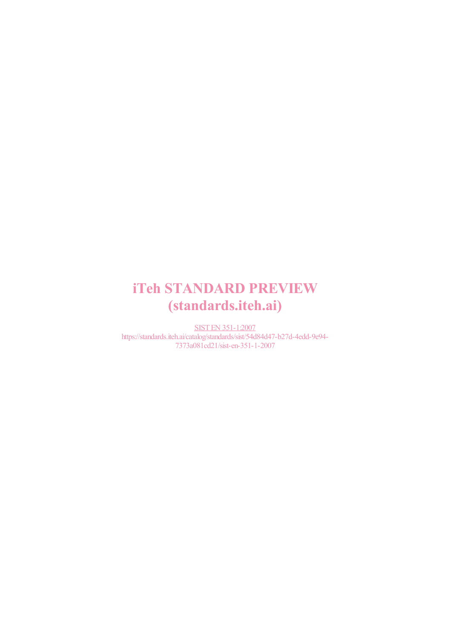# iTeh STANDARD PREVIEW (standards.iteh.ai)

SIST EN 351-1:2007 https://standards.iteh.ai/catalog/standards/sist/54d84d47-b27d-4edd-9e94- 7373a081cd21/sist-en-351-1-2007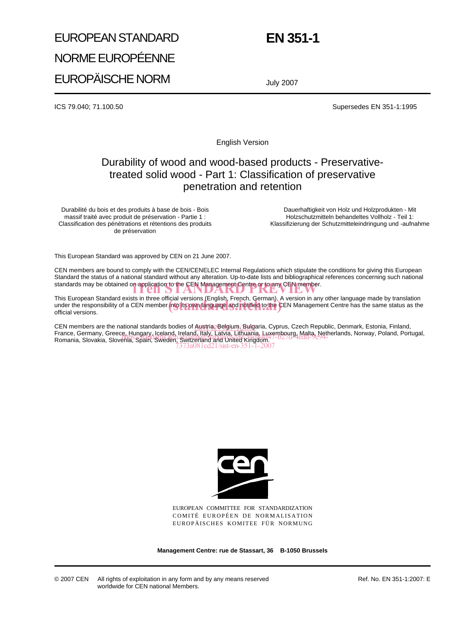# EUROPEAN STANDARD NORME EUROPÉENNE EUROPÄISCHE NORM

# **EN 351-1**

July 2007

ICS 79.040; 71.100.50 Supersedes EN 351-1:1995

English Version

### Durability of wood and wood-based products - Preservativetreated solid wood - Part 1: Classification of preservative penetration and retention

Durabilité du bois et des produits à base de bois - Bois massif traité avec produit de préservation - Partie 1 : Classification des pénétrations et rétentions des produits de préservation

Dauerhaftigkeit von Holz und Holzprodukten - Mit Holzschutzmitteln behandeltes Vollholz - Teil 1: Klassifizierung der Schutzmitteleindringung und -aufnahme

This European Standard was approved by CEN on 21 June 2007.

CEN members are bound to comply with the CEN/CENELEC Internal Regulations which stipulate the conditions for giving this European Standard the status of a national standard without any alteration. Up-to-date lists and bibliographical references concerning such national standards may be obtained on application to the CEN Management Centre or to any CEN member.<br>
The STANDARD PREVIEW STANDARD PREVIEW WAS CITED TO AN ARREST OF A LIBRARY PREVIEW WAS CITED TO A LIBRARY PREVIEW WAS CITED TO A L

This European Standard exists in three official versions (English, French, German). A version in any other language made by translation This European Standard exists in three official versions (English, French, German). A version in any other language made by translation<br>under the responsibility of a CEN member into its own language and notified to the CEN official versions.

CEN members are the national standards bodies of Austria, Belgium, Bulgaria, Cyprus, Czech Republic, Denmark, Estonia, Finland, France, Germany, Greece, Hungary, Iceland, Ireland, Italy, Latvia, Lithuania, Luxembourg, Malta, Netherlands, Norway, Poland, Portugal,<br>Romania, Slovakia, Slovenia, Shalk (Skadan, Skrifahand and Lithad Kidddom 17-b27d-4edd Romania, Slovakia, Slovenia, Spain, Sweden, Switzerland and United Kingdom. 7373a081cd21/sist-en-351-1-2007



EUROPEAN COMMITTEE FOR STANDARDIZATION COMITÉ EUROPÉEN DE NORMALISATION EUROPÄISCHES KOMITEE FÜR NORMUNG

**Management Centre: rue de Stassart, 36 B-1050 Brussels**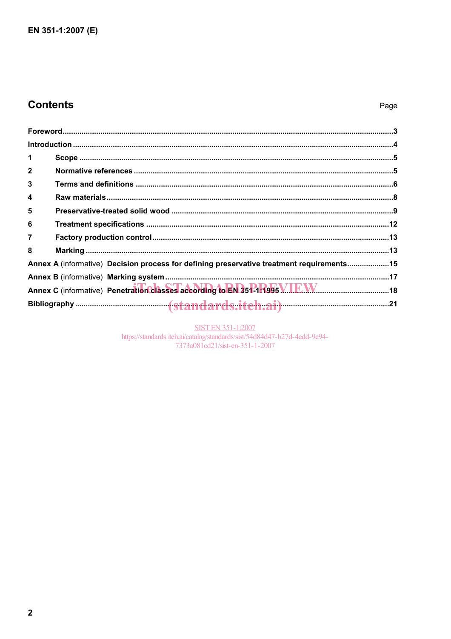## **Contents**

### Page

| 1              |                                                                                           |  |
|----------------|-------------------------------------------------------------------------------------------|--|
| $\mathbf{2}$   |                                                                                           |  |
| 3              |                                                                                           |  |
| 4              |                                                                                           |  |
| 5              |                                                                                           |  |
| 6              |                                                                                           |  |
| $\overline{7}$ |                                                                                           |  |
| 8              |                                                                                           |  |
|                | Annex A (informative) Decision process for defining preservative treatment requirements15 |  |
|                |                                                                                           |  |
|                |                                                                                           |  |
|                |                                                                                           |  |

SIST EN 351-1:2007<br>https://standards.iteh.ai/catalog/standards/sist/54d84d47-b27d-4edd-9e94-<br>7373a081cd21/sist-en-351-1-2007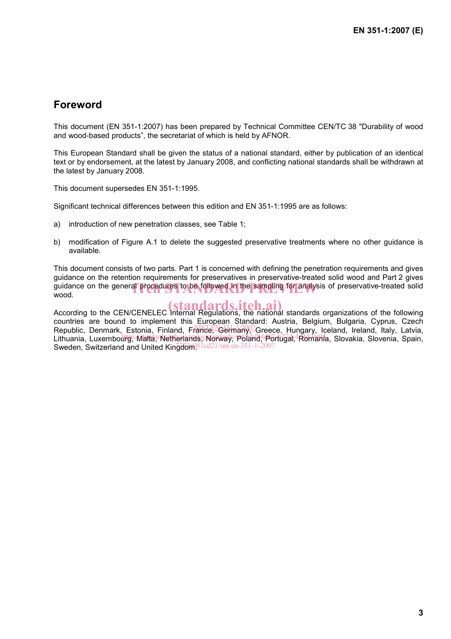### **Foreword**

This document (EN 351-1:2007) has been prepared by Technical Committee CEN/TC 38 "Durability of wood and wood-based products", the secretariat of which is held by AFNOR.

This European Standard shall be given the status of a national standard, either by publication of an identical text or by endorsement, at the latest by January 2008, and conflicting national standards shall be withdrawn at the latest by January 2008.

This document supersedes EN 351-1:1995.

Significant technical differences between this edition and EN 351-1:1995 are as follows:

- a) introduction of new penetration classes, see Table 1;
- b) modification of Figure A.1 to delete the suggested preservative treatments where no other guidance is available.

This document consists of two parts. Part 1 is concerned with defining the penetration requirements and gives guidance on the retention requirements for preservatives in preservative-treated solid wood and Part 2 gives guidance on the general procedures to be followed in the sampling for analysis of preservative-treated solid<br>wood. wood.

According to the CEN/CENELEC Internal Regulations, the national standards organizations of the following countries are bound to implement this European Standard: Austria, Belgium, Bulgaria, Cyprus, Czech ecommise are search to imprement this representation means, Esiguin, Eurgania, Sypher, Second<br>Republic, Denmark, Estonia, Finland, France, Germany, Greece, Hungary, Iceland, Ireland, Italy, Latvia, Lithuania, Luxembourg, Malta, Netherlands, Norway, Poland, Portugal, Romania, Slovakia, Slovenia, Spain, Sweden, Switzerland and United Kingdom<sup>81cd21/sist-en-351-1-2007</sup>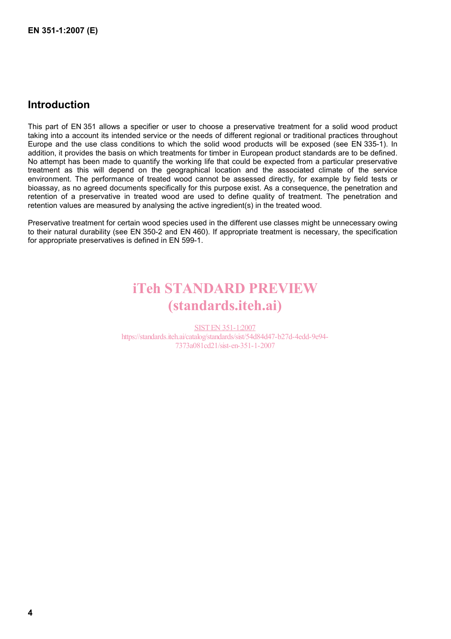### **Introduction**

This part of EN 351 allows a specifier or user to choose a preservative treatment for a solid wood product taking into a account its intended service or the needs of different regional or traditional practices throughout Europe and the use class conditions to which the solid wood products will be exposed (see EN 335-1). In addition, it provides the basis on which treatments for timber in European product standards are to be defined. No attempt has been made to quantify the working life that could be expected from a particular preservative treatment as this will depend on the geographical location and the associated climate of the service environment. The performance of treated wood cannot be assessed directly, for example by field tests or bioassay, as no agreed documents specifically for this purpose exist. As a consequence, the penetration and retention of a preservative in treated wood are used to define quality of treatment. The penetration and retention values are measured by analysing the active ingredient(s) in the treated wood.

Preservative treatment for certain wood species used in the different use classes might be unnecessary owing to their natural durability (see EN 350-2 and EN 460). If appropriate treatment is necessary, the specification for appropriate preservatives is defined in EN 599-1.

# iTeh STANDARD PREVIEW (standards.iteh.ai)

SIST EN 351-1:2007 https://standards.iteh.ai/catalog/standards/sist/54d84d47-b27d-4edd-9e94- 7373a081cd21/sist-en-351-1-2007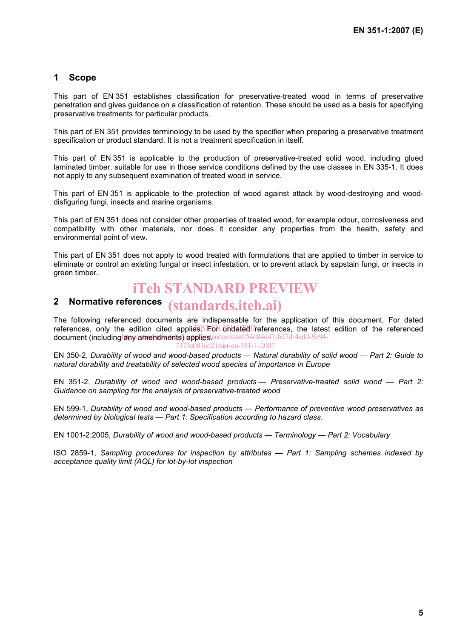### **1 Scope**

This part of EN 351 establishes classification for preservative-treated wood in terms of preservative penetration and gives guidance on a classification of retention. These should be used as a basis for specifying preservative treatments for particular products.

This part of EN 351 provides terminology to be used by the specifier when preparing a preservative treatment specification or product standard. It is not a treatment specification in itself.

This part of EN 351 is applicable to the production of preservative-treated solid wood, including glued laminated timber, suitable for use in those service conditions defined by the use classes in EN 335-1. It does not apply to any subsequent examination of treated wood in service.

This part of EN 351 is applicable to the protection of wood against attack by wood-destroying and wooddisfiguring fungi, insects and marine organisms.

This part of EN 351 does not consider other properties of treated wood, for example odour, corrosiveness and compatibility with other materials, nor does it consider any properties from the health, safety and environmental point of view.

This part of EN 351 does not apply to wood treated with formulations that are applied to timber in service to eliminate or control an existing fungal or insect infestation, or to prevent attack by sapstain fungi, or insects in green timber.

## iTeh STANDARD PREVIEW

# **2 Normative references**  (standards.iteh.ai)

The following referenced documents are indispensable for the application of this document. For dated references, only the edition cited applies. For undated references, the latest edition of the referenced document (including any amendments) appliestandards/sist/54d84d47-b27d-4edd-9e94-7373a081cd21/sist-en-351-1-2007

EN 350-2, *Durability of wood and wood-based products — Natural durability of solid wood — Part 2: Guide to natural durability and treatability of selected wood species of importance in Europe*

EN 351-2, *Durability of wood and wood-based products — Preservative-treated solid wood — Part 2: Guidance on sampling for the analysis of preservative-treated wood*

EN 599-1, *Durability of wood and wood-based products — Performance of preventive wood preservatives as determined by biological tests — Part 1: Specification according to hazard class*.

EN 1001-2:2005, *Durability of wood and wood-based products — Terminology — Part 2: Vocabulary*

ISO 2859-1, *Sampling procedures for inspection by attributes — Part 1: Sampling schemes indexed by acceptance quality limit (AQL) for lot-by-lot inspection*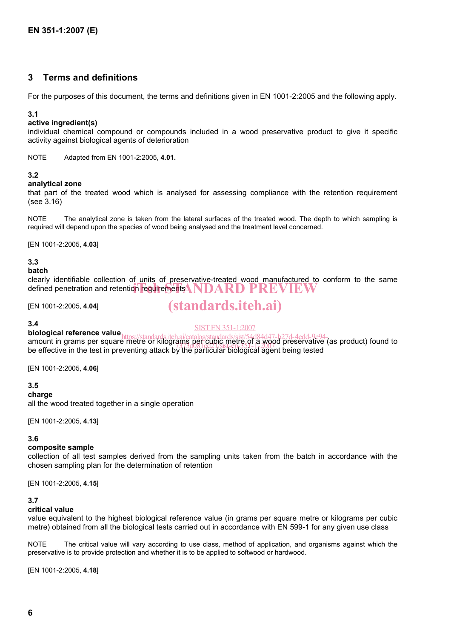### **3 Terms and definitions**

For the purposes of this document, the terms and definitions given in EN 1001-2:2005 and the following apply.

#### **3.1**

#### **active ingredient(s)**

individual chemical compound or compounds included in a wood preservative product to give it specific activity against biological agents of deterioration

NOTE Adapted from EN 1001-2:2005, **4.01.** 

#### **3.2**

#### **analytical zone**

that part of the treated wood which is analysed for assessing compliance with the retention requirement (see 3.16)

NOTE The analytical zone is taken from the lateral surfaces of the treated wood. The depth to which sampling is required will depend upon the species of wood being analysed and the treatment level concerned.

[EN 1001-2:2005, **4.03**]

#### **3.3**

#### **batch**

clearly identifiable collection of units of preservative-treated wood manufactured to conform to the same defined penetration and retention requirements **NDARD PREVIEW** 

[EN 1001-2:2005, **4.04**]

# (standards.iteh.ai)

#### **3.4**

**biological reference value** 

#### SIST EN 351-1:2007

**biological reference value** https://standards.iteh.ai/catalog/standards/sist/54d84d47-b27d-4edd-9e94-<br>amount in grams per square metre or kilograms per cubic metre of a wood preservative (as product) found to be effective in the test in preventing attack by the particular biological agent being tested  $77.3081$  cd2.1/sist-en-351-1-2007

[EN 1001-2:2005, **4.06**]

#### **3.5**

#### **charge**

all the wood treated together in a single operation

[EN 1001-2:2005, **4.13**]

#### **3.6**

#### **composite sample**

collection of all test samples derived from the sampling units taken from the batch in accordance with the chosen sampling plan for the determination of retention

[EN 1001-2:2005, **4.15**]

#### **3.7**

#### **critical value**

value equivalent to the highest biological reference value (in grams per square metre or kilograms per cubic metre) obtained from all the biological tests carried out in accordance with EN 599-1 for any given use class

NOTE The critical value will vary according to use class, method of application, and organisms against which the preservative is to provide protection and whether it is to be applied to softwood or hardwood.

[EN 1001-2:2005, **4.18**]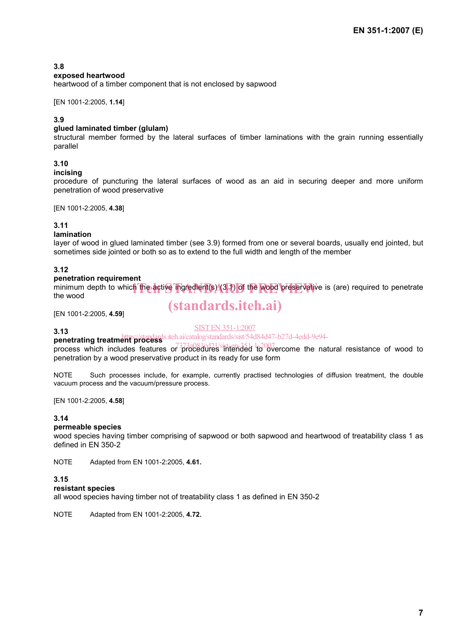#### **3.8**

#### **exposed heartwood**

heartwood of a timber component that is not enclosed by sapwood

#### [EN 1001-2:2005, **1.14**]

#### **3.9**

#### **glued laminated timber (glulam)**

structural member formed by the lateral surfaces of timber laminations with the grain running essentially parallel

#### **3.10**

#### **incising**

procedure of puncturing the lateral surfaces of wood as an aid in securing deeper and more uniform penetration of wood preservative

[EN 1001-2:2005, **4.38**]

#### **3.11**

#### **lamination**

layer of wood in glued laminated timber (see 3.9) formed from one or several boards, usually end jointed, but sometimes side jointed or both so as to extend to the full width and length of the member

#### **3.12**

#### **penetration requirement**

minimum depth to which the active ingredient(s) (3.1) of the wood preservative is (are) required to penetrate the wood the wood

# (standards.iteh.ai)

[EN 1001-2:2005, **4.59**]

#### **3.13**

#### SIST EN 351-1:2007

**penetrating treatment process** iteh.ai/catalog/standards/sist/54d84d47-b27d-4edd-9e94-<br> **penetrating treatment process** 

process which includes features or *procedures* intended to overcome the natural resistance of wood to penetration by a wood preservative product in its ready for use form

NOTE Such processes include, for example, currently practised technologies of diffusion treatment, the double vacuum process and the vacuum/pressure process.

[EN 1001-2:2005, **4.58**]

#### **3.14**

#### **permeable species**

wood species having timber comprising of sapwood or both sapwood and heartwood of treatability class 1 as defined in EN 350-2

NOTE Adapted from EN 1001-2:2005, **4.61.** 

#### **3.15**

#### **resistant species**

all wood species having timber not of treatability class 1 as defined in EN 350-2

NOTE Adapted from EN 1001-2:2005, **4.72.**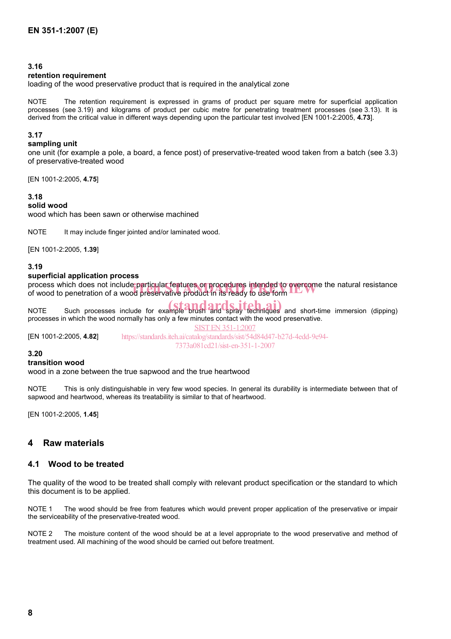#### **3.16**

#### **retention requirement**

loading of the wood preservative product that is required in the analytical zone

NOTE The retention requirement is expressed in grams of product per square metre for superficial application processes (see 3.19) and kilograms of product per cubic metre for penetrating treatment processes (see 3.13). It is derived from the critical value in different ways depending upon the particular test involved [EN 1001-2:2005, **4.73**].

#### **3.17**

#### **sampling unit**

one unit (for example a pole, a board, a fence post) of preservative-treated wood taken from a batch (see 3.3) of preservative-treated wood

[EN 1001-2:2005, **4.75**]

#### **3.18**

#### **solid wood**

wood which has been sawn or otherwise machined

NOTE It may include finger jointed and/or laminated wood.

[EN 1001-2:2005, **1.39**]

#### **3.19**

#### **superficial application process**

process which does not include particular features or procedures intended to overcome the natural resistance<br>of wood to penetration of a wood preservative product in its ready to use form of wood to penetration of a wood preservative product in its ready to use form

NOTE Such processes include for example brush and spray techniques and short-time immersion (dipping) processes in which the wood normally has only a few minutes contact with the wood preservative.

[EN 1001-2:2005, **4.82**] SIST EN 351-1:2007 https://standards.iteh.ai/catalog/standards/sist/54d84d47-b27d-4edd-9e94- 7373a081cd21/sist-en-351-1-2007

#### **3.20**

#### **transition wood**

wood in a zone between the true sapwood and the true heartwood

NOTE This is only distinguishable in very few wood species. In general its durability is intermediate between that of sapwood and heartwood, whereas its treatability is similar to that of heartwood.

[EN 1001-2:2005, **1.45**]

#### **4 Raw materials**

#### **4.1 Wood to be treated**

The quality of the wood to be treated shall comply with relevant product specification or the standard to which this document is to be applied.

NOTE 1 The wood should be free from features which would prevent proper application of the preservative or impair the serviceability of the preservative-treated wood.

NOTE 2 The moisture content of the wood should be at a level appropriate to the wood preservative and method of treatment used. All machining of the wood should be carried out before treatment.